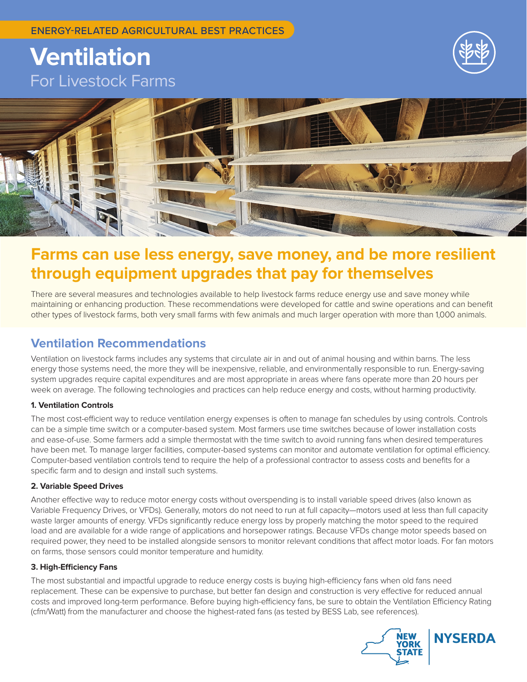# **Ventilation**  For Livestock Farms





## **Farms can use less energy, save money, and be more resilient through equipment upgrades that pay for themselves**

There are several measures and technologies available to help livestock farms reduce energy use and save money while maintaining or enhancing production. These recommendations were developed for cattle and swine operations and can benefit other types of livestock farms, both very small farms with few animals and much larger operation with more than 1,000 animals.

### **Ventilation Recommendations**

Ventilation on livestock farms includes any systems that circulate air in and out of animal housing and within barns. The less energy those systems need, the more they will be inexpensive, reliable, and environmentally responsible to run. Energy-saving system upgrades require capital expenditures and are most appropriate in areas where fans operate more than 20 hours per week on average. The following technologies and practices can help reduce energy and costs, without harming productivity.

#### **1. Ventilation Controls**

The most cost-efficient way to reduce ventilation energy expenses is often to manage fan schedules by using controls. Controls can be a simple time switch or a computer-based system. Most farmers use time switches because of lower installation costs and ease-of-use. Some farmers add a simple thermostat with the time switch to avoid running fans when desired temperatures have been met. To manage larger facilities, computer-based systems can monitor and automate ventilation for optimal efficiency. Computer-based ventilation controls tend to require the help of a professional contractor to assess costs and benefits for a specific farm and to design and install such systems.

#### **2. Variable Speed Drives**

Another effective way to reduce motor energy costs without overspending is to install variable speed drives (also known as Variable Frequency Drives, or VFDs). Generally, motors do not need to run at full capacity—motors used at less than full capacity waste larger amounts of energy. VFDs significantly reduce energy loss by properly matching the motor speed to the required load and are available for a wide range of applications and horsepower ratings. Because VFDs change motor speeds based on required power, they need to be installed alongside sensors to monitor relevant conditions that affect motor loads. For fan motors on farms, those sensors could monitor temperature and humidity.

#### **3. High-Efficiency Fans**

The most substantial and impactful upgrade to reduce energy costs is buying high-efficiency fans when old fans need replacement. These can be expensive to purchase, but better fan design and construction is very effective for reduced annual costs and improved long-term performance. Before buying high-efficiency fans, be sure to obtain the Ventilation Efficiency Rating (cfm/Watt) from the manufacturer and choose the highest-rated fans (as tested by BESS Lab, see references).